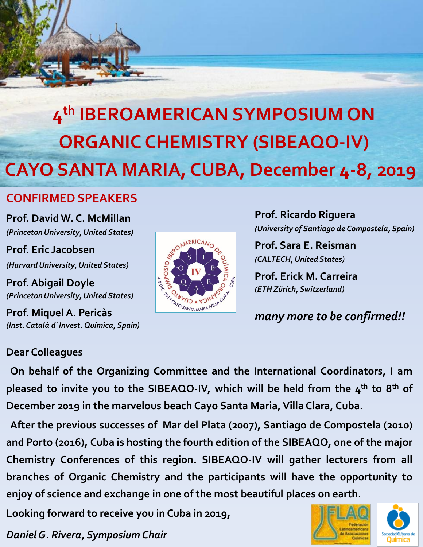

# **CONFIRMED SPEAKERS**

**Prof. David W. C. McMillan** *(Princeton University, United States)*

**Prof. Eric Jacobsen** *(Harvard University, United States)*

**Prof. Abigail Doyle** *(Princeton University, United States)*

**Prof. Miquel A. Pericàs** *(Inst. Català d´Invest. Química, Spain)*



**Prof. Ricardo Riguera** *(University of Santiago de Compostela, Spain)* 

**Prof. Sara E. Reisman** *(CALTECH, United States)*

**Prof. Erick M. Carreira** *(ETH Zürich, Switzerland)*

*many more to be confirmed!!*

## **Dear Colleagues**

**On behalf of the Organizing Committee and the International Coordinators, I am pleased to invite you to the SIBEAQO-IV, which will be held from the 4 th to 8 th of December 2019 in the marvelous beach Cayo Santa Maria,Villa Clara, Cuba.**

**After the previous successes of Mar del Plata (2007), Santiago de Compostela (2010) and Porto (2016), Cuba is hosting the fourth edition of the SIBEAQO, one of the major Chemistry Conferences of this region. SIBEAQO-IV will gather lecturers from all branches of Organic Chemistry and the participants will have the opportunity to enjoy of science and exchange in one of the most beautiful places on earth.**

**Looking forward to receive you in Cuba in 2019,**

*Daniel G. Rivera, Symposium Chair*